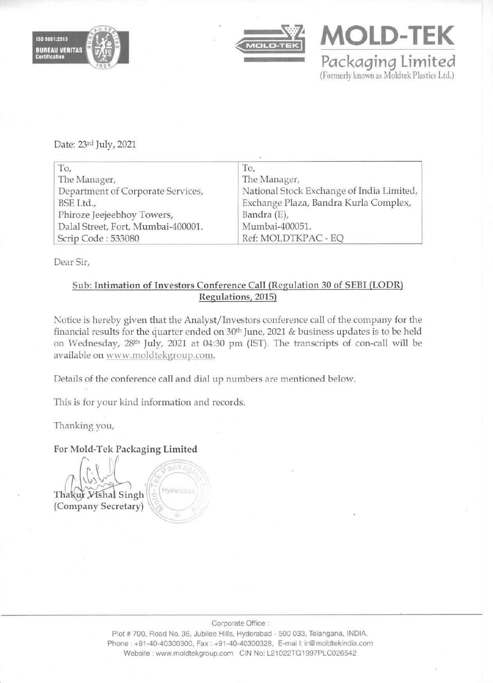





Date: 23rd July, 2021

| To,                                | To,                                       |
|------------------------------------|-------------------------------------------|
| The Manager,                       | The Manager,                              |
| Department of Corporate Services,  | National Stock Exchange of India Limited, |
| BSE Ltd.,                          | Exchange Plaza, Bandra Kurla Complex,     |
| Phiroze Jeejeebhoy Towers,         | Bandra (E),                               |
| Dalal Street, Fort, Mumbai-400001. | Mumbai-400051.                            |
| Scrip Code: 533080                 | Ref: MOLDTKPAC - EQ                       |

Dear Sir,

## Sub: Intimation of Investors Conference Call (Regulation 30 of SEBI (LODR) Regulations, 2015)

Notice is hereby given that the Analyst/ Investors conference call of the company for the financial results for the quarter ended on 30th June, 2021 & business updates is to be held on Wednesday, 28th July, 2021 at 04:30 pm (15T). The transcripts of con-call will be available on www.moldtekgroup.com.

Details of the conference call and dial up numbers are mentioned below.

This is for your kind information and records.

cka

Thanking you,

For Mold·Tek Packaging Limited

 $\int_{\mathbb{R}^2}$ Thakur *Yishal*  $Singh \left(\frac{1}{\omega}\right)^{Hydensma}$ (Company Secretary)